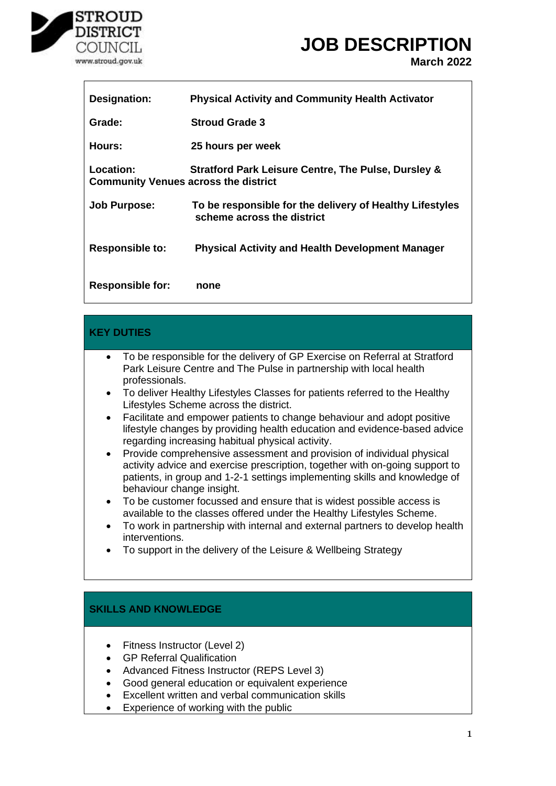

### **JOB DESCRIPTION**

**March 2022**

| Designation:                                             | <b>Physical Activity and Community Health Activator</b>                                |
|----------------------------------------------------------|----------------------------------------------------------------------------------------|
| Grade:                                                   | <b>Stroud Grade 3</b>                                                                  |
| Hours:                                                   | 25 hours per week                                                                      |
| Location:<br><b>Community Venues across the district</b> | <b>Stratford Park Leisure Centre, The Pulse, Dursley &amp;</b>                         |
| <b>Job Purpose:</b>                                      | To be responsible for the delivery of Healthy Lifestyles<br>scheme across the district |
| <b>Responsible to:</b>                                   | <b>Physical Activity and Health Development Manager</b>                                |
|                                                          |                                                                                        |

#### **KEY DUTIES** • To be responsible for the delivery of GP Exercise on Referral at Stratford Park Leisure Centre and The Pulse in partnership with local health professionals. • To deliver Healthy Lifestyles Classes for patients referred to the Healthy Lifestyles Scheme across the district. • Facilitate and empower patients to change behaviour and adopt positive lifestyle changes by providing health education and evidence-based advice regarding increasing habitual physical activity. • Provide comprehensive assessment and provision of individual physical activity advice and exercise prescription, together with on-going support to patients, in group and 1-2-1 settings implementing skills and knowledge of behaviour change insight. • To be customer focussed and ensure that is widest possible access is available to the classes offered under the Healthy Lifestyles Scheme. • To work in partnership with internal and external partners to develop health interventions.

• To support in the delivery of the Leisure & Wellbeing Strategy

### **SKILLS AND KNOWLEDGE**

- Fitness Instructor (Level 2)
- GP Referral Qualification
- Advanced Fitness Instructor (REPS Level 3)
- Good general education or equivalent experience
- Excellent written and verbal communication skills
- Experience of working with the public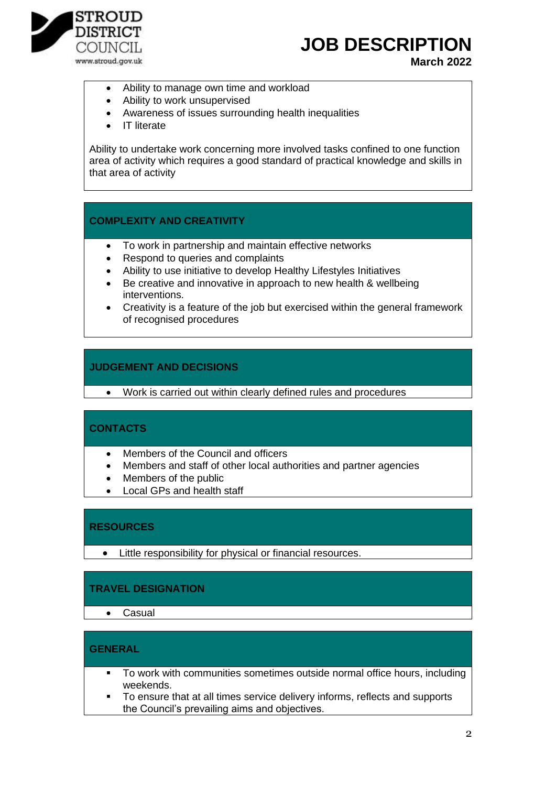

# **JOB DESCRIPTION**

**March 2022**

- Ability to manage own time and workload
- Ability to work unsupervised
- Awareness of issues surrounding health inequalities
- IT literate

Ability to undertake work concerning more involved tasks confined to one function area of activity which requires a good standard of practical knowledge and skills in that area of activity

#### **COMPLEXITY AND CREATIVITY**

- To work in partnership and maintain effective networks
- Respond to queries and complaints
- Ability to use initiative to develop Healthy Lifestyles Initiatives
- Be creative and innovative in approach to new health & wellbeing interventions.
- Creativity is a feature of the job but exercised within the general framework of recognised procedures

#### **JUDGEMENT AND DECISIONS**

• Work is carried out within clearly defined rules and procedures

#### **CONTACTS**

- Members of the Council and officers
- Members and staff of other local authorities and partner agencies
- Members of the public
- Local GPs and health staff

#### **RESOURCES**

• Little responsibility for physical or financial resources.

#### **TRAVEL DESIGNATION**

• Casual

#### **GENERAL**

- To work with communities sometimes outside normal office hours, including weekends.
- To ensure that at all times service delivery informs, reflects and supports the Council's prevailing aims and objectives.